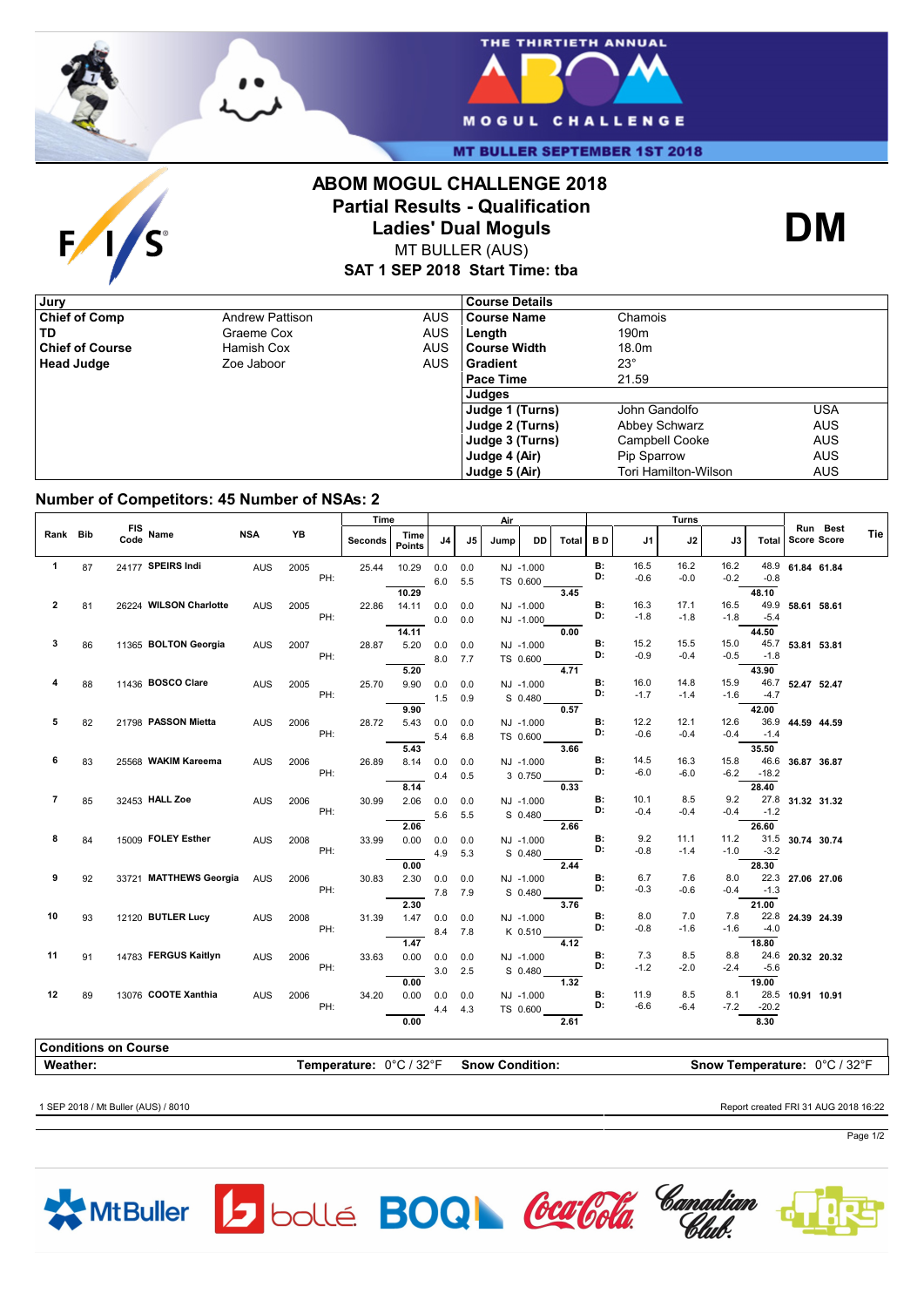

 $F/1/s$ 



**MT BULLER SEPTEMBER 1ST 2018** 

## **ABOM MOGUL CHALLENGE 2018 Partial Results - Qualification Ladies' Dual Moguls**



MT BULLER (AUS)

**SAT 1 SEP 2018 Start Time: tba**

| , Jury                 |                        |            | <b>Course Details</b> |                      |            |
|------------------------|------------------------|------------|-----------------------|----------------------|------------|
| <b>Chief of Comp</b>   | <b>Andrew Pattison</b> | <b>AUS</b> | <b>Course Name</b>    | Chamois              |            |
| TD                     | Graeme Cox             | AUS        | Length                | 190 <sub>m</sub>     |            |
| <b>Chief of Course</b> | Hamish Cox             | <b>AUS</b> | l Course Width        | 18.0m                |            |
| <b>Head Judge</b>      | Zoe Jaboor             | <b>AUS</b> | l Gradient            | $23^\circ$           |            |
|                        |                        |            | Pace Time             | 21.59                |            |
|                        |                        |            | Judges                |                      |            |
|                        |                        |            | Judge 1 (Turns)       | John Gandolfo        | USA        |
|                        |                        |            | Judge 2 (Turns)       | Abbey Schwarz        | <b>AUS</b> |
|                        |                        |            | Judge 3 (Turns)       | Campbell Cooke       | <b>AUS</b> |
|                        |                        |            | Judge 4 (Air)         | Pip Sparrow          | <b>AUS</b> |
|                        |                        |            | Judge 5 (Air)         | Tori Hamilton-Wilson | <b>AUS</b> |

## **Number of Competitors: 45 Number of NSAs: 2**

|                |    |                             |            |             | Time           |                       | Air |         |      | Turns     |              |                 |                |                |                |         |                  |                               |            |
|----------------|----|-----------------------------|------------|-------------|----------------|-----------------------|-----|---------|------|-----------|--------------|-----------------|----------------|----------------|----------------|---------|------------------|-------------------------------|------------|
| Rank Bib       |    | FIS Name                    | <b>NSA</b> | YB          | <b>Seconds</b> | Time<br><b>Points</b> | J4  | J5      | Jump | <b>DD</b> | <b>Total</b> | <b>BD</b>       | J1             | J2             | J3             |         |                  | Run Best<br>Total Score Score | <b>Tie</b> |
| $\mathbf{1}$   | 87 | 24177 SPEIRS Indi           | <b>AUS</b> | 2005        | 25.44          | 10.29                 | 0.0 | 0.0     |      | NJ -1.000 |              | <b>B:</b>       | 16.5           | 16.2           | 16.2           |         | 48.9 61.84 61.84 |                               |            |
|                |    |                             |            | PH:         |                |                       | 6.0 | 5.5     |      | TS 0.600  |              | D:              | $-0.6$         | $-0.0$         | $-0.2$         | $-0.8$  |                  |                               |            |
|                |    |                             |            |             |                | 10.29                 |     |         |      |           | 3.45         |                 |                |                |                | 48.10   |                  |                               |            |
| 2              | 81 | 26224 WILSON Charlotte      | <b>AUS</b> | 2005        | 22.86          | 14.11                 | 0.0 | 0.0     |      | NJ -1.000 |              | <b>B:</b>       | 16.3           | 17.1           | 16.5           | 49.9    | 58.61 58.61      |                               |            |
|                |    |                             |            | PH:         |                |                       | 0.0 | 0.0     |      | NJ -1.000 |              | D:              | $-1.8$         | $-1.8$         | $-1.8$         | $-5.4$  |                  |                               |            |
|                |    |                             |            |             |                | 14.11                 |     |         |      |           | 0.00         |                 |                |                |                | 44.50   |                  |                               |            |
| 3              | 86 | 11365 BOLTON Georgia        | <b>AUS</b> | 2007        | 28.87          | 5.20                  | 0.0 | 0.0     |      | NJ -1.000 |              | <b>B:</b>       | 15.2           | 15.5           | 15.0           |         | 45.7 53.81 53.81 |                               |            |
|                |    |                             |            | PH:         |                |                       | 8.0 | 7.7     |      | TS 0.600  |              | D:              | $-0.9$         | $-0.4$         | $-0.5$         | $-1.8$  |                  |                               |            |
|                |    |                             |            |             |                | 5.20                  |     |         |      |           | 4.71         |                 |                |                |                | 43.90   |                  |                               |            |
|                | 88 | 11436 BOSCO Clare           | <b>AUS</b> | 2005        | 25.70          | 9.90                  | 0.0 | 0.0     |      | NJ -1.000 |              | В:<br>D:        | 16.0           | 14.8           | 15.9           |         | 46.7 52.47 52.47 |                               |            |
|                |    |                             |            | PH:         |                |                       | 1.5 | 0.9     |      | S 0.480   |              |                 | $-1.7$         | $-1.4$         | $-1.6$         | $-4.7$  |                  |                               |            |
|                |    |                             |            |             |                | 9.90                  |     |         |      |           | 0.57         |                 |                |                |                | 42.00   |                  |                               |            |
| 5              | 82 | 21798 PASSON Mietta         | <b>AUS</b> | 2006<br>PH: | 28.72          | 5.43                  | 0.0 | 0.0     |      | NJ -1.000 |              | <b>B:</b><br>D: | 12.2<br>$-0.6$ | 12.1<br>$-0.4$ | 12.6<br>$-0.4$ | $-1.4$  | 36.9 44.59 44.59 |                               |            |
|                |    |                             |            |             |                |                       | 5.4 | 6.8     |      | TS 0.600  |              |                 |                |                |                |         |                  |                               |            |
| 6              |    | 25568 WAKIM Kareema         |            |             |                | 5.43                  |     |         |      |           | 3.66         | <b>B:</b>       | 14.5           | 16.3           | 15.8           | 35.50   | 46.6 36.87 36.87 |                               |            |
|                | 83 |                             | <b>AUS</b> | 2006<br>PH: | 26.89          | 8.14                  | 0.0 | 0.0     |      | NJ -1.000 |              | D:              | $-6.0$         | $-6.0$         | $-6.2$         | $-18.2$ |                  |                               |            |
|                |    |                             |            |             |                | 8.14                  | 0.4 | 0.5     |      | 3 0.750   | 0.33         |                 |                |                |                | 28.40   |                  |                               |            |
| $\overline{7}$ | 85 | 32453 HALL Zoe              | <b>AUS</b> | 2006        | 30.99          | 2.06                  | 0.0 | 0.0     |      | NJ -1.000 |              | <b>B:</b>       | 10.1           | 8.5            | 9.2            |         | 27.8 31.32 31.32 |                               |            |
|                |    |                             |            | PH:         |                |                       | 5.6 | 5.5     |      | S 0.480   |              | D:              | $-0.4$         | $-0.4$         | $-0.4$         | $-1.2$  |                  |                               |            |
|                |    |                             |            |             |                | 2.06                  |     |         |      |           | 2.66         |                 |                |                |                | 26.60   |                  |                               |            |
| 8              | 84 | 15009 FOLEY Esther          | <b>AUS</b> | 2008        | 33.99          | 0.00                  | 0.0 | 0.0     |      | NJ -1.000 |              | <b>B:</b>       | 9.2            | 11.1           | 11.2           |         | 31.5 30.74 30.74 |                               |            |
|                |    |                             |            | PH:         |                |                       | 4.9 | 5.3     |      | S 0.480   |              | D:              | $-0.8$         | $-1.4$         | $-1.0$         | $-3.2$  |                  |                               |            |
|                |    |                             |            |             |                | 0.00                  |     |         |      |           | 2.44         |                 |                |                |                | 28.30   |                  |                               |            |
| 9              | 92 | 33721 MATTHEWS Georgia      | <b>AUS</b> | 2006        | 30.83          | 2.30                  | 0.0 | 0.0     |      | NJ -1.000 |              | <b>B:</b>       | 6.7            | 7.6            | 8.0            |         | 22.3 27.06 27.06 |                               |            |
|                |    |                             |            | PH:         |                |                       |     | 7.8 7.9 |      | S 0.480   |              | D:              | $-0.3$         | $-0.6$         | $-0.4$         | $-1.3$  |                  |                               |            |
|                |    |                             |            |             |                | 2.30                  |     |         |      |           | 3.76         |                 |                |                |                | 21.00   |                  |                               |            |
| 10             | 93 | 12120 BUTLER Lucy           | <b>AUS</b> | 2008        | 31.39          | 1.47                  | 0.0 | 0.0     |      | NJ -1.000 |              | <b>B:</b><br>D: | 8.0            | 7.0            | 7.8            |         | 22.8 24.39 24.39 |                               |            |
|                |    |                             |            | PH:         |                |                       | 8.4 | 7.8     |      | K 0.510   |              |                 | $-0.8$         | $-1.6$         | -1.6           | $-4.0$  |                  |                               |            |
|                |    |                             |            |             |                | 1.47                  |     |         |      |           | 4.12         |                 |                |                |                | 18.80   |                  |                               |            |
| 11             | 91 | 14783 FERGUS Kaitlyn        | <b>AUS</b> | 2006        | 33.63          | 0.00                  | 0.0 | 0.0     |      | NJ -1.000 |              | <b>B:</b><br>D: | 7.3<br>$-1.2$  | 8.5            | 8.8<br>$-2.4$  |         | 24.6 20.32 20.32 |                               |            |
|                |    |                             |            | PH:         |                |                       | 3.0 | 2.5     |      | S 0.480   |              |                 |                | $-2.0$         |                | $-5.6$  |                  |                               |            |
| 12             |    | 13076 COOTE Xanthia         |            |             |                | 0.00                  |     |         |      |           | 1.32         | <b>B:</b>       | 11.9           | 8.5            | 8.1            | 19.00   |                  |                               |            |
|                | 89 |                             | <b>AUS</b> | 2006<br>PH: | 34.20          | 0.00                  | 0.0 | 0.0     |      | NJ -1.000 |              | D:              | $-6.6$         | $-6.4$         | $-7.2$         | $-20.2$ | 28.5 10.91 10.91 |                               |            |
|                |    |                             |            |             |                | 0.00                  | 4.4 | 4.3     |      | TS 0.600  | 2.61         |                 |                |                |                | 8.30    |                  |                               |            |
|                |    |                             |            |             |                |                       |     |         |      |           |              |                 |                |                |                |         |                  |                               |            |
|                |    | <b>Conditions on Course</b> |            |             |                |                       |     |         |      |           |              |                 |                |                |                |         |                  |                               |            |

**Weather: Temperature:**  $0^{\circ}C / 32^{\circ}F$  **Snow Condition: Snow Temperature:**  $0^{\circ}C / 32^{\circ}F$ 

1 SEP 2018 / Mt Buller (AUS) / 8010 Report created FRI 31 AUG 2018 16:22



Page 1/2